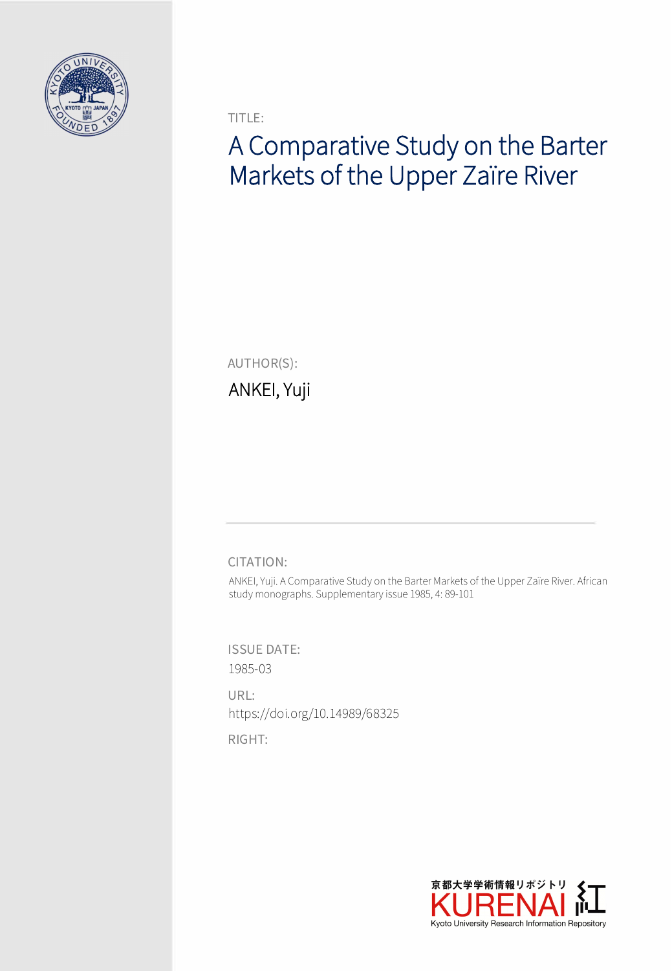

TITLE:

# A Comparative Study on the Barter Markets of the Upper Zaïre River

AUTHOR(S):

ANKEI, Yuji

CITATION:

ANKEI, Yuji. A Comparative Study on the Barter Markets of the Upper Zaïre River. African study monographs. Supplementary issue 1985, 4: 89-101

ISSUE DATE: 1985-03

URL: https://doi.org/10.14989/68325

RIGHT:

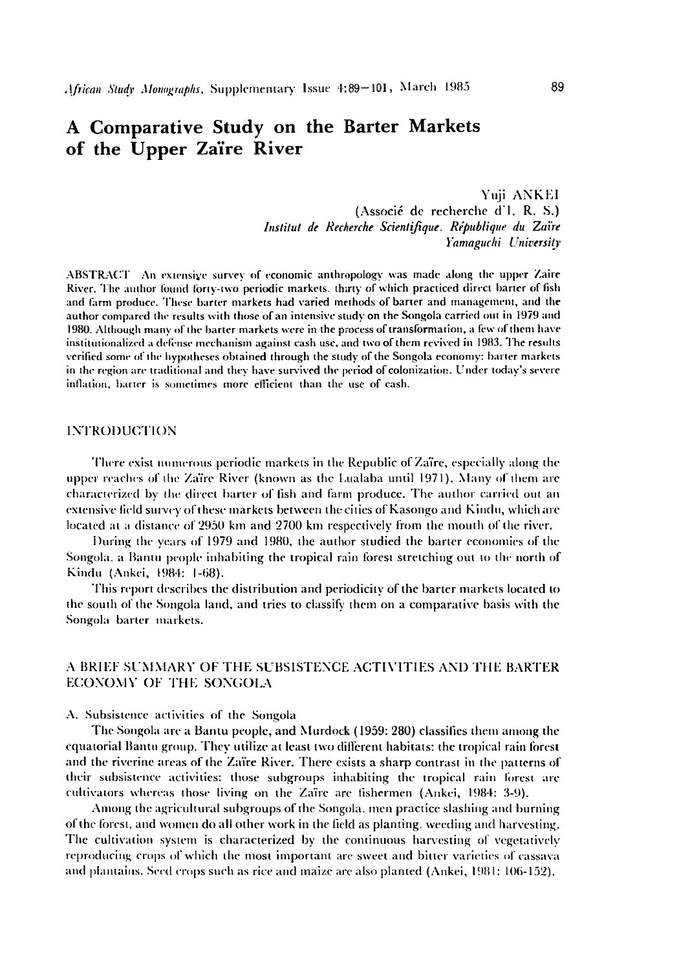## A Comparative Study on the Barter Markets of the Upper Zaïre River

Yuji ANKEI (Associé de recherche d'1. R. S.) Institut de Recherche Scientifique. République du Zaïre Yamaguchi University

ABSTRACT An extensive survey of economic anthropology was made along the upper Zaire River. The author found forty-two periodic markets, thirty of which practiced direct barter of fish and farm produce. These barter markets had varied methods of barter and management, and the author compared the results with those of an intensive study on the Songola carried out in 1979 and 1980. Although many of the barter markets were in the process of transformation, a few of them have institutionalized a defense mechanism against cash use, and two of them revived in 1983. The results verified some of the hypotheses obtained through the study of the Songola economy: barter markets in the region are traditional and they have survived the period of colonization. Under today's severe inflation, barter is sometimes more efficient than the use of cash.

#### **INTRODUCTION**

There exist numerous periodic markets in the Republic of Zaïre, especially along the upper reaches of the Zaïre River (known as the Lualaba until 1971). Many of them are characterized by the direct barter of fish and farm produce. The author carried out an extensive field survey of these markets between the cities of Kasongo and Kindu, which are located at a distance of 2950 km and 2700 km respectively from the mouth of the river.

During the years of 1979 and 1980, the author studied the barter economies of the Songola, a Bantu people inhabiting the tropical rain forest stretching out to the north of Kindu (Ankei, 1984: 1-68).

This report describes the distribution and periodicity of the barter markets located to the south of the Songola land, and tries to classify them on a comparative basis with the Songola barter markets.

#### A BRIEF SUMMARY OF THE SUBSISTENCE ACTIVITIES AND THE BARTER ECONOMY OF THE SONGOLA

A. Subsistence activities of the Songola

The Songola are a Bantu people, and Murdock (1959: 280) classifies them among the equatorial Bantu group. They utilize at least two different habitats: the tropical rain forest and the riverine areas of the Zaïre River. There exists a sharp contrast in the patterns of their subsistence activities: those subgroups inhabiting the tropical rain forest are cultivators whereas those living on the Zaïre are fishermen (Ankei, 1984: 3-9).

Among the agricultural subgroups of the Songola, men practice slashing and burning of the forest, and women do all other work in the field as planting, weeding and harvesting. The cultivation system is characterized by the continuous harvesting of vegetatively reproducing crops of which the most important are sweet and bitter varieties of cassava and plantains. Seed crops such as rice and maize are also planted (Ankei, 1981: 106-152).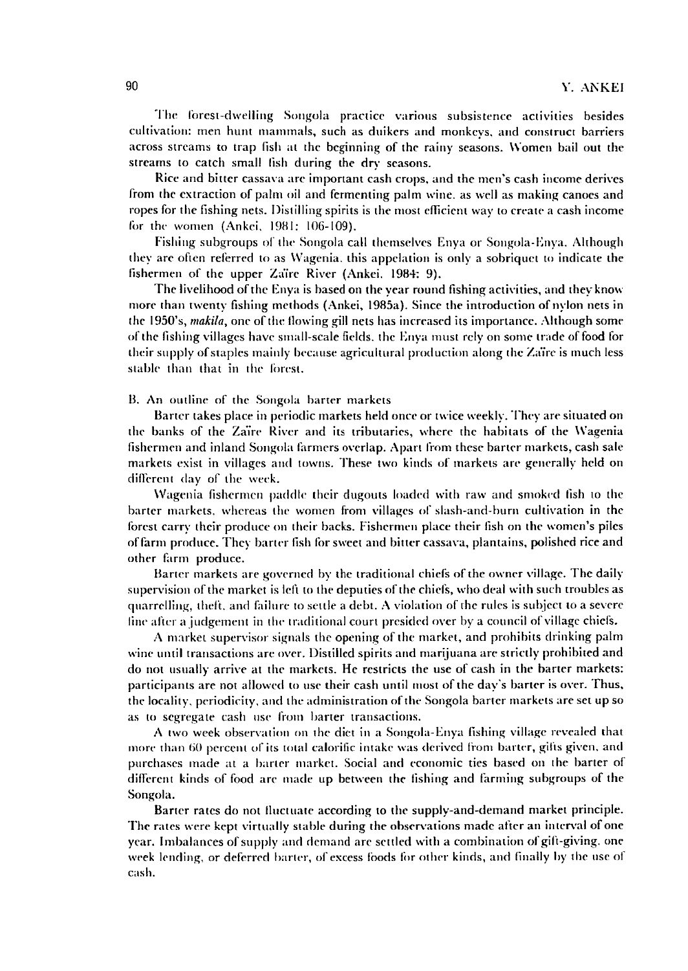The lorest-dwelling Songola practice various subsistence activities besides cultivation: men hunt mammals, such as duikers and monkeys, and construct barriers across streams to trap fish at the beginning of the rainy seasons. Women bailout the streams to catch small lish during the dry seasons.

Rice and bitter cassava arc important cash crops, and the men's cash income derives from the extraction of palm oil and fermenting palm wine. as well as making canoes and ropes for the fishing nets. Distilling spirits is the most efficient way to create a cash income for the women (Ankei. 19BI: 106-109).

Fishing subgroups of the Songola call themselves Enya or Songola-Enya. Although they arc often relerred to as Wagenia. this appclation is only a sobriquet to indicate the fishermen of the upper Za'ire River (Ankei. 1984: 9).

The livelihood ofthe Enya is based on the year round fishing activities, and they know more than twenty fishing methods (Ankei, 1985a). Since the introduction of nylon nets in the 1950's, *makila*, one of the flowing gill nets has increased its importance. Although some of the fishing villages have small-scale fields. the Enya must rely on some trade of food for their supply of staples mainly because agricultural production along the Zaïre is much less stable than that in the forest.

13. An outline of the Songola harter markets

Barter takes place in periodic markets held once or twice weekly. They are situated on the banks of the Za'ire Rivcr and its tributaries, where the habitats of the Wagenia fishermen and inland Songola farmers overlap. Apart from these barter markets, cash sale markets exist in villages and towns. These two kinds of markets are generally held on different day of the week.

Wagenia fishermen paddle their dugouts loaded with raw and smoked fish to the barter markets. whereas the women from villages or slash-and-hurn cultivation in the forest carry their produce on their backs. Fishermen place their fish on the women's piles offarm produce, They barter fish for sweet and bitter cassava, plantains, polished rice and other farm produce.

Barter markets are governed by the traditional chiefs of the owner village. The daily supervision of the market is left to the deputies of the chiefs, who deal with such troubles as quarrelling, theft, and failure to settle a debt. A violation of the rules is subject to a severe line after a judgement in the traditional court presided over by a council of village chiefs.

A market supervisor signals the opening of the market, and prohihits drinking palm wine until transactions arc over. Distilled spirits and marijuana are strictly prohibited and do not usually arrive at the markets. He restricts the use of cash in the barter markets: participants are not allowed to usc their cash until most of the day's barter is over. Thus, the locality, periodicity, and the administration of the Songola barter markets are set up so as to segregate cash use from barter transactions.

A two week observatiou on the diet in a Songola-Enya fishing village revealed that more than 60 percent of its total calorific intake was derived from barter, gifts given, and purchases made at a harter market. Social and economic ties based on the barter of different kinds of food arc made up between the fishing and farming subgroups of the Songola.

Barter rates do not fluctuate according to the supply-and-demand market principle. The rates were kept virtually stahle during the ohservations made after an interval of one year. Imbalances of supply and demand are settled with a combination of gift-giving. one week lending, or deferred barter, of excess foods for other kinds, and finally by the use of cash.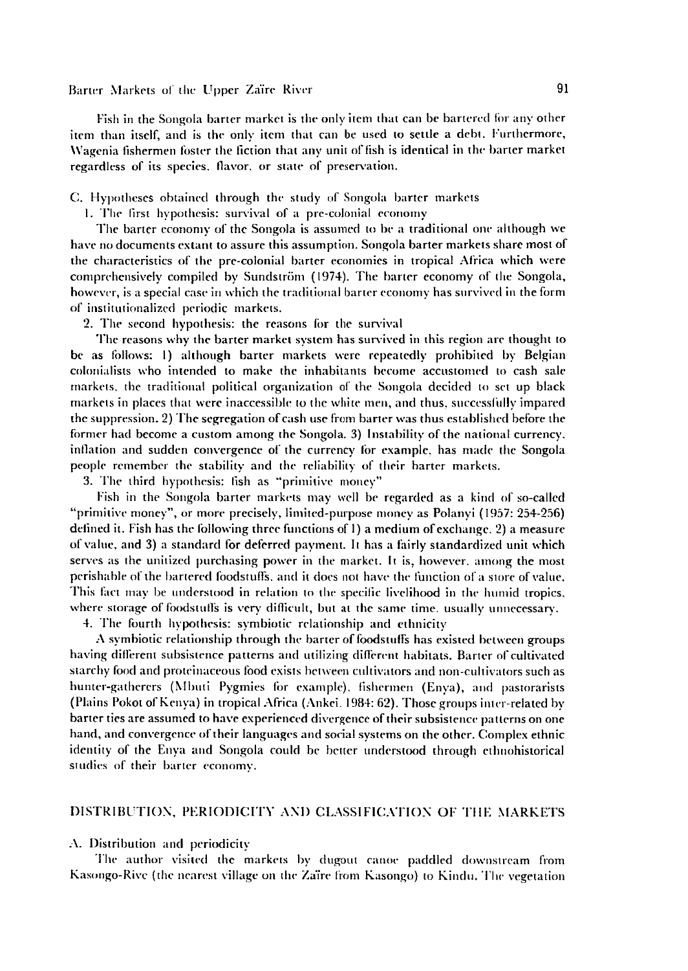BaneT :'\Iarkl'ls or lhl" II pper Za'ire Riwr 91

Fish in the Songola barter market is the only item that can be bartered for any other item than itself, and is the only item lhat can be used to settle a deb.. Furthermore. Wagenia fishermen foster the fiction that any unit of fish is identical in the harter market regardless of its species. flavor, or state of preservation.

C. Hypolheses obtained through the study of Songola harter markets

I. The first hypolhesis: survival of a pre-colonial economy

The barter cconomy of the Songola is assumed to be a traditional one although we have no documents extant to assure this assumption. Songola barter markets share most of the characteristics of the pre-colonial barter economics in tropical Africa which were comprehensively compiled by Sundström (1974). The barter economy of the Songola, however. is a special case in which the traditiunal barter economy has survived in the form of institutionalized periodic markets.

2. The second hypothesis: the reasons for the survival

The reasons why the barter market system has survived in this region arc thought to be as follows: 1) although barter markets were repeatedly prohibited by Belgian colonialists who intended to make the inhabitants become accustomed to cash sale markets. the traditional political organization of the Songola decided to set up black markets in places that were inaccessihle 10 the white men. and thus. successfully impared the suppression. 2) The segregation of cash use from barter was thus established before the former had become a custom among lhe Songola. 3) Instability of the national currency. inflation and sudden convergence of the currency for example. has made the Songola people remember the stability and the reliability of their barter markets.

3. The third hypothesis: fish as "primitive money"

Fish in the Songola barter markets may well be regarded as a kind of so-called "primitive money", or more precisely, limited-purpose money as Polanyi (1957: 254-256) defined it. Fish has the following three functions of 1) a medium of exchange. 2) a measure of value, and 3) a standard for deferred payment. It has a fairly standardized unit which serves as the unitized purchasing power in the market. It is, however, among the most perishable of the bartered foodstuffs, and it does not have the function of a store of value. This fact may be understood in relation to the specific livelihood in the humid tropics, where storage of foodstulls is very difficult, but at the same time, usually unnecessary.

4. The fourth hypothesis: symbiotic relationship and ethnicity

 $\Lambda$  symbiotic relationship through the barter of foodstuffs has existed between groups having different subsistence patterns and utilizing different habitats. Barter of cultivated starchy food and proteinaceous food exists hetween cultivators and non-cultivators such as hunter-gatherers (Mbuti Pygmies for example). fishermen (Enya), and pastorarists (Plains Pokot of Kenya) in tropical Africa (Ankei. 1984: 62). Those groups inter-related by barter ties are assumed to have experienced divergence of their subsistence patterns on one hand, and convergence of their languages and social systems on the other. Complex ethnic identity of the Enya and Songola could be better understood through ethnohistorical studies of their barter economy.

#### DISTRIBUTION, PERIODICITY AND CLASSIFICATION OF THE MARKETS

#### A. Distribution and periodicity

The author visited the markels by dugout canoe paddled downstream from Kasongo-Rive (the nearest village on the Zaïre from Kasongo) to Kindu. The vegetation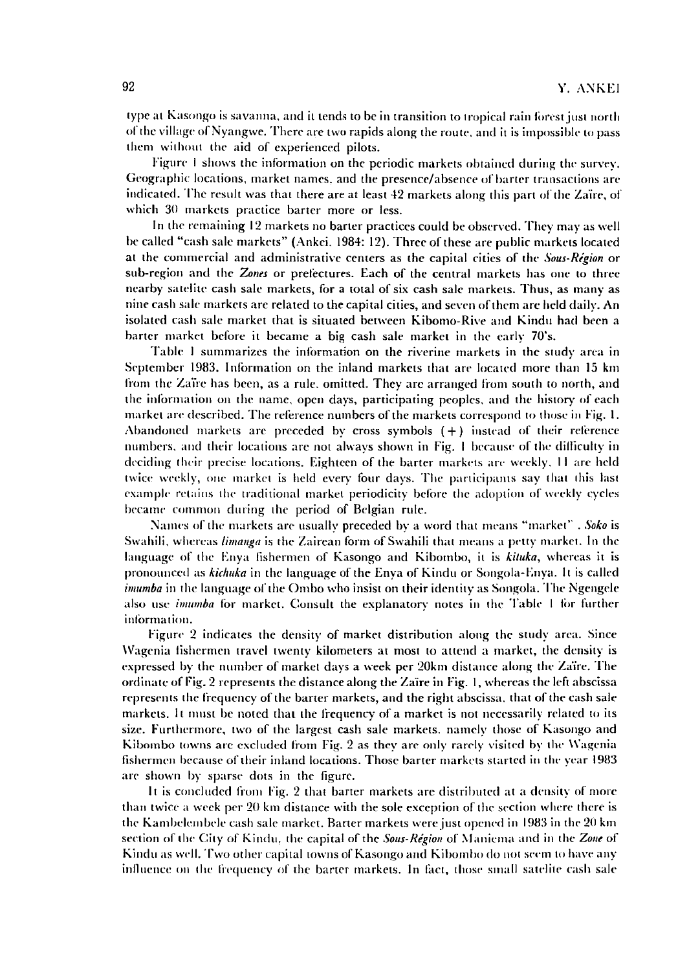type at Kasongo is savanna, and it tends to be in transition to tropical rain forest just north of the village of Nyangwe. There are two rapids along the route, and it is impossible to pass them without the aid of experienced pilots.

Figure I shows the information on the periodic markets obtained during the survey. Geographic locations, market names, and the presence/absence of barter transactions arc indicated. The result was that there are at least 42 markets along this part of the Zaïre, of which 30 markets practice barter more or less.

In the remaining 12 markets no barter practices could be observed. They may as well be called "cash sale markets" (Ankei. 1984: 12). Three of these are public markets located at the commercial and administrative centers as the capital cities of the *Sous-Région* or sub-region and the *Zones* or prefectures. Each of the central markets has one to three nearby satelite cash sale markets, for a total of six cash sale markets. Thus, as many as nine cash sale markers arc related to the capital cities, and seven ofthem arc held daily. An isolated cash sale market that is situated between Kibomo-Rive and Kindu had been a barter market before it became a big cash sale market in the early 70's.

Table 1 summarizes the information on the riverine markets in the study area in September 1983. Information on the inland markets that are located more than 15 km from the Zaïre has been, as a rule. omitted. They are arranged from south to north, and the information on the name, open days, participating peoples, and the history of each market are described. The reference numbers of the markets correspond to those in Fig. 1. Abandoned markets are preceded by cross symbols  $(+)$  instead of their reference numbers, and their locations arc not always shown in Fig. I because of Ihe difliculty in deciding their precise locations. Eighteen of the barter markets are weekly, 11 are held twice weekly, one market is held every four days. The participants say that this last example-retains the traditional market periodicity before the adoption of weekly cycles became common during the period of Belgian rule.

Names of the markets are usually preceded by a word that means "market" . Soko is Swahili, whereas *limanga* is the Zairean form of Swahili that means a petty market. In the language of the Enya fishermen of Kasongo and Kibombo, it is *kituka*, whereas it is pronounced as *kichuka* in the language of the Enya of Kindu or Songola-Enya. It is called *imumba* in the language of the Ombo who insist on their identity as Songola. The Ngengele also use *imumba* for market. Consult the explanatory notes in the Table 1 for further inlormation.

Figure 2 indicates the density of market distribution along the study area. Since \Vagenia lishennen travel twenty kilometers at most to attend a market, the density is expressed by the number of market days a week per 20km distance along the Zaïre. The ordinate of Fig. 2 represents the distance along the Zaire in Fig. 1, whereas the left abscissa represenls the frequency of the barter markets, and the right abscissa. that of the cash sale markets. It must be noted that the frequency of a market is not necessarily related to its size. Furthermore, Iwo of the largest cash sale markets. namely those of Kasongo and Kibombo towns are excluded from Fig. 2 as they are only rarely visited by the Wagenia fishermen hecause of Iheir inland locations. Those barter markets started in the year 1983 are shown by sparse dots in the figurc.

It is concluded from Fig. 2 that barter markets are distributed at a density of more than twice a week per 20 km distance with the sole exception of the section where there is the Kambelembele cash sale market. Barter markets were just opened in 1983 in the 20 km section of the City of Kindu, the capital of the *Sous-Région* of Maniema and in the *Zone* of Kindu as well. Two other capital towns of Kasongo and Kibombo do not seem to have any influence on the frequency of the barter markets. In fact, those small satelite cash sale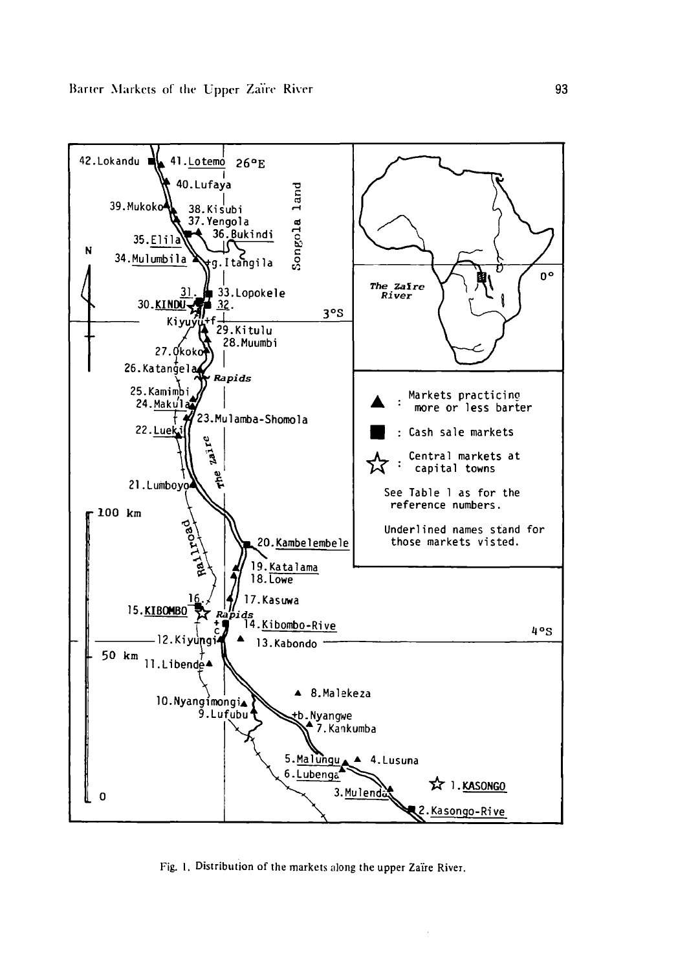

Fig. 1. Distribution of the markets along the upper Zaïre River.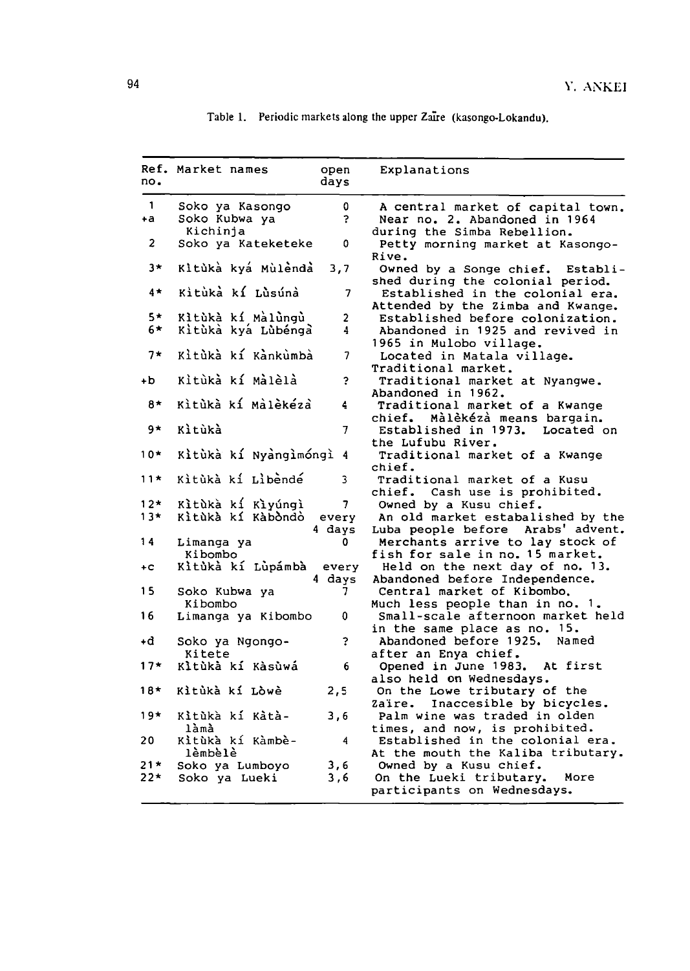| no.   | Ref. Market names<br>open<br>days             | Explanations                                                                                              |
|-------|-----------------------------------------------|-----------------------------------------------------------------------------------------------------------|
| 1     | Soko ya Kasongo<br>0                          | A central market of capital town.                                                                         |
| $+a$  | Soko Kubwa ya<br>Ş.<br>Kichinja               | Near no. 2. Abandoned in 1964<br>during the Simba Rebellion.                                              |
| 2     | Soko ya Kateketeke<br>0                       | Petty morning market at Kasongo-<br>Rive.                                                                 |
| 3*    | Kitùkà kyá Mùlèndà<br>3,7                     | Owned by a Songe chief. Establi-                                                                          |
| $4*$  | Kìtùkà kí Lùsúnà<br>7                         | shed during the colonial period.<br>Established in the colonial era.<br>Attended by the Zimba and Kwange. |
| $5*$  | Kitùkà kí Màlùngù<br>$\mathbf{2}^-$           | Established before colonization.                                                                          |
| 6*    | Kitùkà kyá Lùbéngà<br>$\overline{\mathbf{4}}$ | Abandoned in 1925 and revived in<br>1965 in Mulobo village.                                               |
| $7*$  | Kitùkà kí Kankumba<br>7                       | Located in Matala village.<br>Traditional market.                                                         |
| ÷Ь    | Kìtùkà kí Màlèlà<br>Ś.                        | Traditional market at Nyangwe.                                                                            |
| 8*    | Kitúká kí Málékéza<br>4                       | Abandoned in 1962.<br>Traditional market of a Kwange                                                      |
| 9*    | Kìtùkà<br>7                                   | Màlèkézà means bargain.<br>chief.<br>Established in 1973.<br>Located on<br>the Lufubu River.              |
| $10*$ | Kitùkà kí Nyàngìmóngì 4                       | Traditional market of a Kwange<br>chief.                                                                  |
| $11*$ | Kitùkà kí Libèndé<br>3                        | Traditional market of a Kusu<br>chief. Cash use is prohibited.                                            |
| $12*$ | Kitùkà kí Kiyúngi<br>7                        | Owned by a Kusu chief.                                                                                    |
| $13*$ | Kìtùkà kí Kàbòndò<br>every                    | An old market estabalished by the                                                                         |
|       | 4 days                                        | Luba people before Arabs' advent.                                                                         |
| 14    | 0<br>Limanga ya<br>Kibombo                    | Merchants arrive to lay stock of<br>fish for sale in no. 15 market.                                       |
| ÷С    | Kìtùkà kí Lùpámbà<br>every<br>4 days          | Held on the next day of no. 13.<br>Abandoned before Independence.                                         |
| 15    | Soko Kubwa ya<br>7<br>Kibombo                 | Central market of Kibombo.                                                                                |
| 16    | Limanga ya Kibombo<br>0                       | Much less people than in no. 1.<br>Small-scale afternoon market held                                      |
| ٠d    | 2<br>Soko ya Ngongo-                          | in the same place as no. 15.<br>Abandoned before 1925.<br>Named                                           |
| $17*$ | Kitete<br>Kìtùkà kí Kàsùwá<br>6               | after an Enya chief.<br>At first<br>Opened in June 1983.                                                  |
| 18*   | Kìtùkà kí Lòwè<br>2,5                         | also held on Wednesdays.<br>On the Lowe tributary of the<br>Inaccesible by bicycles.<br>Zaïre.            |
| $19*$ | Kìtùkà kí Kảtà-<br>3,6<br>làmà                | Palm wine was traded in olden<br>times, and now, is prohibited.                                           |
| 20    | Kitùkà kí Kàmbè-<br>$\overline{4}$<br>lèmbèlè | Established in the colonial era.<br>At the mouth the Kaliba tributary.                                    |
| 21*   | Soko ya Lumboyo<br>3,6                        | Owned by a Kusu chief.                                                                                    |
| 22*   | Soko ya Lueki<br>3,6                          | On the Lueki tributary.<br>More<br>participants on Wednesdays.                                            |

Table 1. Periodic markets along the upper Zaire (kasongo-Lokandu).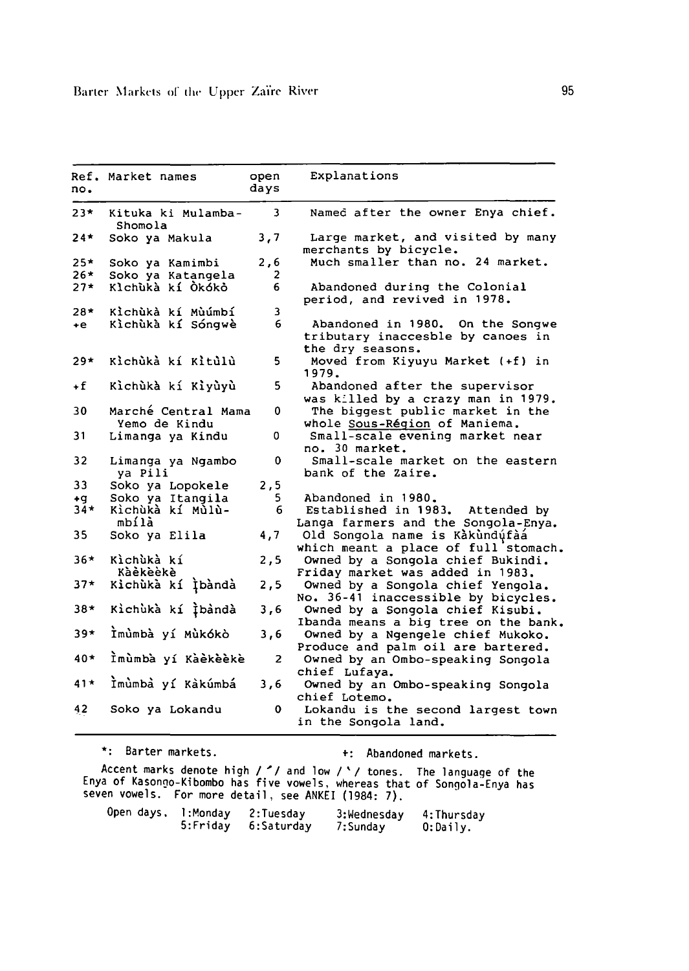| no.   | Ref. Market names                    | open<br>days | Explanations                                                                                 |
|-------|--------------------------------------|--------------|----------------------------------------------------------------------------------------------|
| $23*$ | Kituka ki Mulamba-<br>Shomola        | 3.           | Named after the owner Enya chief.                                                            |
| 24*   | Soko ya Makula                       | 3,7          | Large market, and visited by many<br>merchants by bicycle.                                   |
| $25*$ | Soko ya Kamimbi                      | 2,6          | Much smaller than no. 24 market.                                                             |
| $26*$ | Soko ya Katangela                    | 2            |                                                                                              |
| $27*$ | Klchuka kí Ókóko                     | 6            | Abandoned during the Colonial<br>period, and revived in 1978.                                |
| $28*$ | Kìchùkà kí Mùúmbí                    | 3            |                                                                                              |
| ÷е.   | Kìchùkà kí Sóngwè                    | 6            | Abandoned in 1980.<br>On the Songwe<br>tributary inaccesble by canoes in<br>the dry seasons. |
| 29*   | Kìchùkà kí Kìtùlù                    | 5            | Moved from Kiyuyu Market (+f) in<br>1979.                                                    |
| +f    | Kìchùkà kí Kìyùyù                    | 5.           | Abandoned after the supervisor<br>was killed by a crazy man in 1979.                         |
| 30    | Marché Central Mama<br>Yemo de Kindu | 0            | The biggest public market in the<br>whole Sous-Région of Maniema.                            |
| 31    | Limanga ya Kindu                     | 0            | Small-scale evening market near<br>no. 30 market.                                            |
| 32    | Limanga ya Ngambo<br>ya Pili         | 0            | Small-scale market on the eastern<br>bank of the Zaire.                                      |
| 33    | Soko ya Lopokele                     | 2,5          |                                                                                              |
| +g    | Soko ya Itangila                     | 5.           | Abandoned in 1980.                                                                           |
| $34*$ | Kìchùkà kí Mùlù-<br>mbílà            | 6            | Established in 1983. Attended by<br>Langa farmers and the Songola-Enya.                      |
| 35    | Soko ya Elila                        | 4,7          | Old Songola name is Kakundufaa<br>which meant a place of full stomach.                       |
| $36*$ | Kìchùkà kí<br>Kàèkèèkè               | 2,5          | Owned by a Songola chief Bukindi.<br>Friday market was added in 1983.                        |
| $37*$ | Kichùkà kí Ìbàndà                    | 2,5          | Owned by a Songola chief Yengola.<br>No. 36-41 inaccessible by bicycles.                     |
| 38*   | Kichuka kí Ìbàndà                    | 3,6          | Owned by a Songola chief Kisubi.<br>Ibanda means a big tree on the bank.                     |
| 39*   | İmûmbà yí Mùkókò                     | 3,6          | Owned by a Ngengele chief Mukoko.<br>Produce and palm oil are bartered.                      |
| 40*   | Ìmùmbà yí Kàèkèèkè                   | 2            | Owned by an Ombo-speaking Songola<br>chief Lufaya.                                           |
| $41*$ | Ìmùmbà yí Kàkúmbá                    | 3,6          | Owned by an Ombo-speaking Songola<br>chief Lotemo.                                           |
| 42    | Soko ya Lokandu                      | 0.           | Lokandu is the second largest town<br>in the Songola land.                                   |

\*: Barter markets. t: Abandoned markets.

Accent marks denote high / ' / and low / '/ tones. The language of the Enya of Kasongo-Kibombo has five vowels, whereas that of Songo1a-Enya has seven vowels. For more detail, see ANKEI (1984: 7).

| Open days, | l:Mondav | 2:Tuesday  | 3:Wednesday | 4:Thursday  |  |
|------------|----------|------------|-------------|-------------|--|
|            | 5:Fridav | 6:Saturday | 7:Sunday    | $0:$ Daily. |  |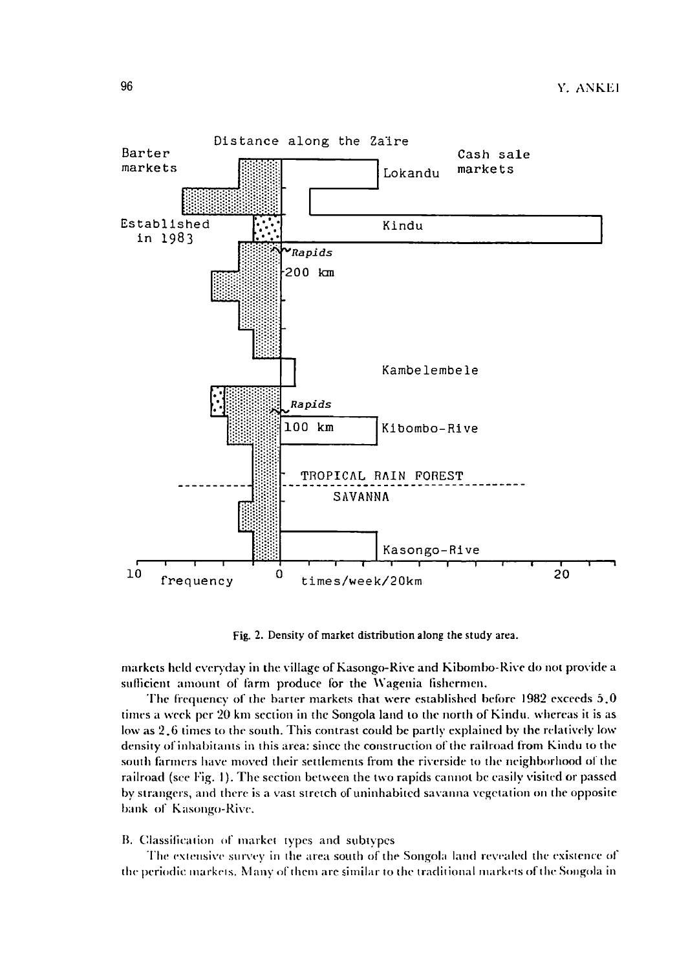

Fig. 2. Density of market distribution along the study area.

markets held everyday in the village of Kasongo-Rive and Kibombo-Rive do not provide a sufficient amount of farm produce for the Wagenia fishermen.

The frequency of the barter markets that were established before  $1982$  exceeds  $5.0$ times a week per 20 km section in the Songola land to the north of Kindu. whereas it is as low as 2,6 times to the south. This contrast could be partly explained by the relatively low density of inhabitants in this area: since the construction of the railroad from Kindu to the south farmers have moved their settlements from the riverside to the neighborhood or the railroad (see Fig. I). The section betwccn the two rapids cannot be easily visitcd or passed by strangers, and there is a vast stretch of uninhabitcd savanna vegetation on thc oppositc bank of Kasongo-Rive.

#### B. Classification of market types and subtypes

The extensive survey in the area south of the Songola land revealed the existence of the periodic markets. Many of them are similar to the traditional markets of the Songola in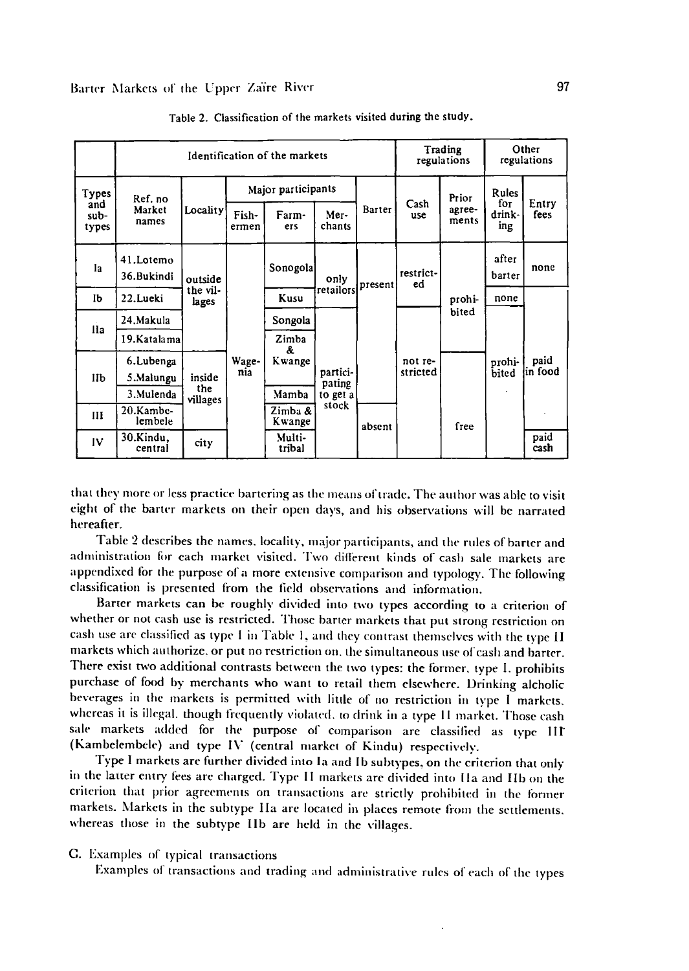|                      | Identification of the markets |                              |                    |                   |                                         | Trading<br>regulations |                                        | Other<br>regulations |                      |                 |
|----------------------|-------------------------------|------------------------------|--------------------|-------------------|-----------------------------------------|------------------------|----------------------------------------|----------------------|----------------------|-----------------|
| Types                | Ref. no<br>Market<br>names    |                              | Major participants |                   |                                         |                        |                                        | Prior                | Rules                |                 |
| and<br>sub-<br>types |                               | Locality                     | Fish-<br>ermen     | Farm-<br>ers      | Mer-<br>chants                          | Barter                 | Cash<br>use                            | адтее-<br>ments      | fоr<br>drink-<br>ing | Entry<br>fees   |
| lа                   | 41.Lotemo<br>36.Bukindi       | outside<br>the vil-<br>lages |                    | Sonogola          | only<br>retailors                       | present                | restrict-<br>ed<br>not re-<br>stricted | prohi-<br>bited      | after<br>barter      | none            |
| Ib                   | 22.Lueki                      |                              |                    | Kusu              |                                         |                        |                                        |                      | none                 |                 |
| IIa                  | 24.Makula                     |                              |                    | Songola           | partici-<br>pating<br>to get a<br>stock |                        |                                        |                      |                      |                 |
|                      | 19. Katalama                  |                              |                    | Zimba<br>Å.       |                                         |                        |                                        |                      |                      |                 |
| IЬ                   | 6.Lubenga<br>5.Malungu        | inside                       | Wage-<br>nia       | Kwange            |                                         |                        |                                        |                      | prohi-<br>bited      | paid<br>in food |
|                      | 3. Mulenda                    | the<br>villages              |                    | Mamba             |                                         |                        |                                        |                      |                      |                 |
| Ш                    | 20.Kambe-<br>lembele          |                              |                    | Zimba &<br>Kwange |                                         | absent                 |                                        | free                 |                      |                 |
| IV                   | 30.Kindu,<br>central          | city                         |                    | Multi-<br>tribal  |                                         |                        |                                        |                      |                      | paid<br>cash    |

Table 2. Classification of the markets visited during the study.

that they more or less practice bartering as the means of trade. The author was able to visit eight of the barter markets on their open days, and his observations will be narrated hereafter.

Table 2 describes the names. locality. major participants, and the rules of barter and administration for each market visited. Two different kinds of cash sale markets are appendixed for the purpose of a more extensive comparison and typology. The following classification is presented from the field obsen'ations and information.

Barter markets can be roughly divided into two types according to a criterion of whether or not cash use is restricted. Those barter markets that put strong restriction on cash use are classified as type I in Table I, and they contrast themselves with the type II markets which authorize. or put no restriction on. the simultaneous use of cash and barter. There exist two additional contrasts between the two types: the former. type 1. prohibits purchase of food by merchants who want to retail them elsewhere. Drinking alcholic beverages in the markets is permitted with litlle of no restriction in type 1 markets. whereas it is illegal. though frequently violated, to drink in a type II market. Those cash sale markets added for the purpose of comparison are classified as type III (Kambelembcle) and type IV (central markct of Kindu) respectively.

Type 1 markets are further divided into la and Ib subtypes, on the criterion that only in the latter entry fees are charged. Type II markets are divided into IIa and IIb on the criterion that prior agreements on transactions arc strictly prohibited in the former markets. Markets in the subtype IIa are located in places remote from the settlements. whereas thosc in the subtype lIb are held in the villages.

C. Examples of typical transactions

Examples of transactions and trading and administrative rules of each of the types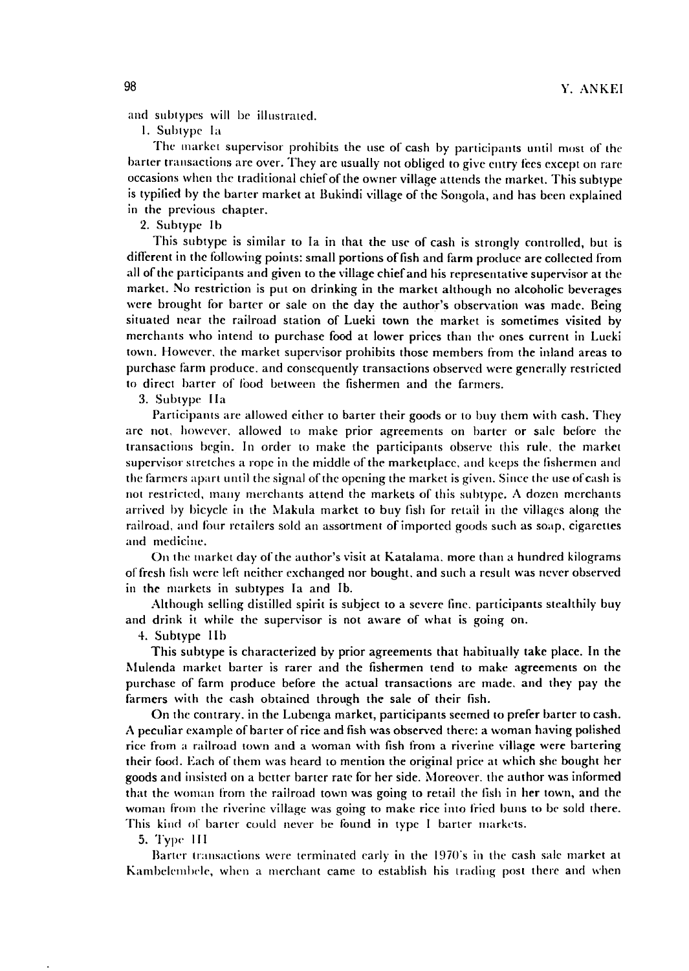and subtypes will be illustrated.

1. Subtype Ia

The market supervisor prohibits the use of cash by participants until most of the barter transactions are over. They are usually not obliged to give entry fces except on rare occasions when the traditional chiefof the owner village attends the market. This subtype is typilied by the barter market at Bukindi village of the Songola, and has been explained in the previous chapter.

2. Subtype Ib

This subtype is similar to la in that the usc of cash is strongly controlled, but is different in the following points: small portions offish and farm produce are collected from all of the participants and given to the village chief and his representative supervisor at the market. No restriction is put on drinking in the market although no alcoholic beverages were brought for barter or sale on the day the author's observation was made. Being situated ncar the railroad station of Lueki town the market is sometimes visited by merchants who intend to purchase food at lower prices than the ones current in Lueki town. However. the market supervisor prohibits those members from the inland areas to purchase farm produce. and consequently transactions observed were generally restricted to direct barter of food between the fishermen and the farmers.

3. Subtype [Ia

Participants are allowed either to barter their goods or to buy them with cash. They are not, however. allowed to make prior agreements on harter or sale belore the transactions begin. In order to make the participants observe this rule, the market supervisor stretches a rope in the middle of the marketplace. and keeps the fishermen and the farmers apart until the signal of the opening the market is given. Since the use of cash is not restricted. many merchants attend the markets of this suhtype. A dozen merchants arrived by bicycle in the Makula market to buy fish lor retail in the villages along the railroad, and four retailers sold an assortment of imported goods such as soap, cigarettes and medicine.

On the market day of the author's visit at Katalama. more than a hundred kilograms of fresh fish were left neither exchanged nor bought. and such a result was never observed in the markets in subtypes Ia and lb.

Although selling distilled spirit is subject to a severe Iinc. participants stealthily buy and drink it while the supervisor is not aware of what is going on.

4. Subtype IIb

This suhtype is characterized by prior agreements that habitually take place. In the Mulenda market barter is rarer and the fishermen tend to make agreements on the purchase of farm produce before the actual transactions arc made. and they pay the farmers with the cash obtained through the sale of their fish.

On the contrary. in the Lubenga market, participants seemed to prefer barter to cash. A peculiar example of barter ofrice and fish was observed there: a woman having polished ricc from a railroad lown and a woman with fish from a riverine village were bartering their food. Each of them was heard 10 mention the original price at which she bought her goods and insisted on a better barter ratc for her side. Moreover. the author was informed that the woman from the railroad town was going to retail the fish in her lown, and the woman from the riverine village was going to make rice into fried buns to be sold there. This kind of barter could never be found in type I barter markets.

5. Typc· II[

Barter transactions were terminated early in the 1970's in the cash sale market at Kambelembele, when a merchant came to establish his trading post there and when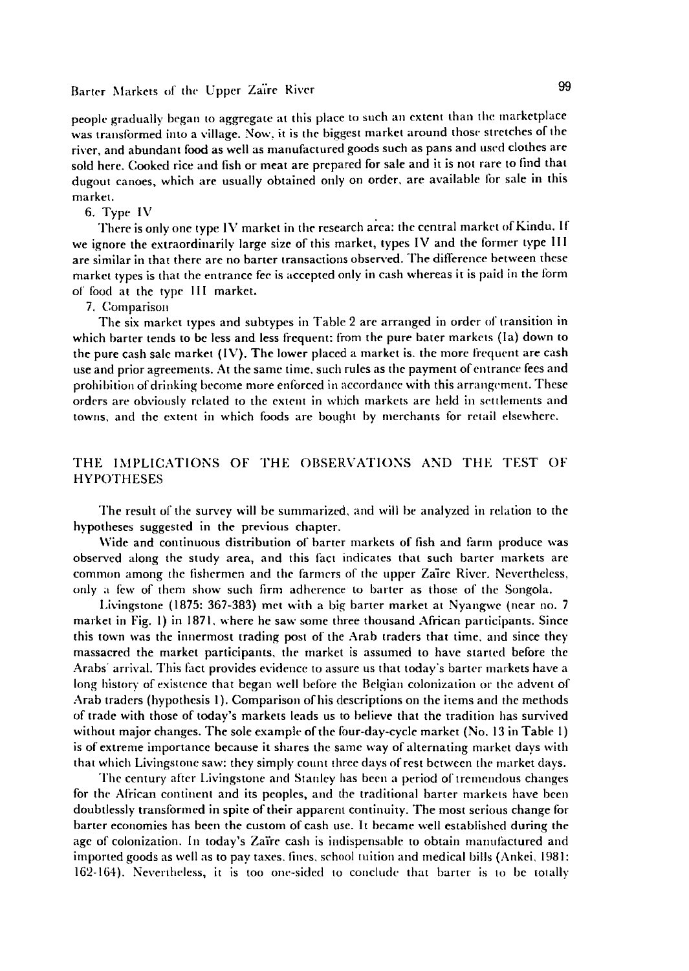### Barter Markets of the Upper Zaïre River 99

people gradually began to aggregate at this place to such an extent than the marketplace was transformed into a village, Now. it is the biggest market around those stretches of the river, and abundant food as well as manufactured goods such as pans and used clothes are sold here. Cooked rice and fish or meat are prepared for sale and it is not rare to find that dugout canoes, which arc usually obtained only on order. are available lor sale in this market.

#### 6. Type IV

There is only one type IV market in the research area: the central market of Kindu. If we ignore the extraordinarily large size of this market, types IV and the former type II I are similar in that there are no barter transactions observed, The difference between these market types is that the entrance fee is accepted only in cash whereas it is paid in the form of food at the type III market.

#### 7. Comparison

The six market types and subtypes in Table 2 arc arranged in order of transition in which harter tends to be less and less frequent: from the pure bater markets (Ia) down to the pure cash sale market  $(IV)$ . The lower placed a market is. the more frequent are cash use and prior agreements. At the samc time, such rules as the payment ofentrance fees and prohibition of drinking become more enforced in accordance with this arrangement. These orders are obviously related to the extent in which markets are held in set tlements and towns, and the extent in which foods are bought by merchants for retail elsewhere.

#### THE IMPLICATIONS OF THE OBSERVATIONS AND THE TEST OF HYPOTHESES

The result of the survey will be summarized. and will be analyzed in relation to the hypotheses suggested in the previous chapter.

Wide and continuous distribution of barter markets of fish and farm produce was observed along the study area, and this fact indicates that such barter markets are common among the fishermen and the farmers of the upper Za'ire River. Nevertheless, only ;1 few of them show such firm adherence to barter as those of the Songola.

Livingstone (1875: 367-383) met wilh a big barter market at Nyangwc (ncar no. 7 market in Fig, I) in 1871. where he saw some three thousand African participants. Since this town was the innermost trading post of the Arab traders that time. and since they massacred the market participants, the market is assumed to have started before the Arabs' arrival. This fact provides evidence <sup>10</sup> assure us that today's barter markets have a long history of existence that began well before the Belgian colonization or the advent of Arab traders (hypothesis I). Comparison of his descriptions on the items and the methods of trade with those of taday's markets leads us to believe that the tradition has survived without major changes. The sole example of the four-day-cycle market (No. 13 in Table 1) is of extreme importance because it shares the same way of alternating market days with that which Livingstone saw: they simply count three days of rest between the market days.

The century after Livingstone and Stanley has been a period of tremendous changes for the African continent and its peoples, and the traditional barter markets have been doubtlessly transformcd in spite of their apparent continuity. The most scrious change for barter economies has been the custom of cash use. It became well established during the age of colonization. In today's Zaire cash is indispensable to obtain manufactured and imported goods as well as to pay taxes, fines, school tuition and medical bills (Ankei, 1981: 162-164). Nevertheless, it is too one-sided to conclude that barter is to be totally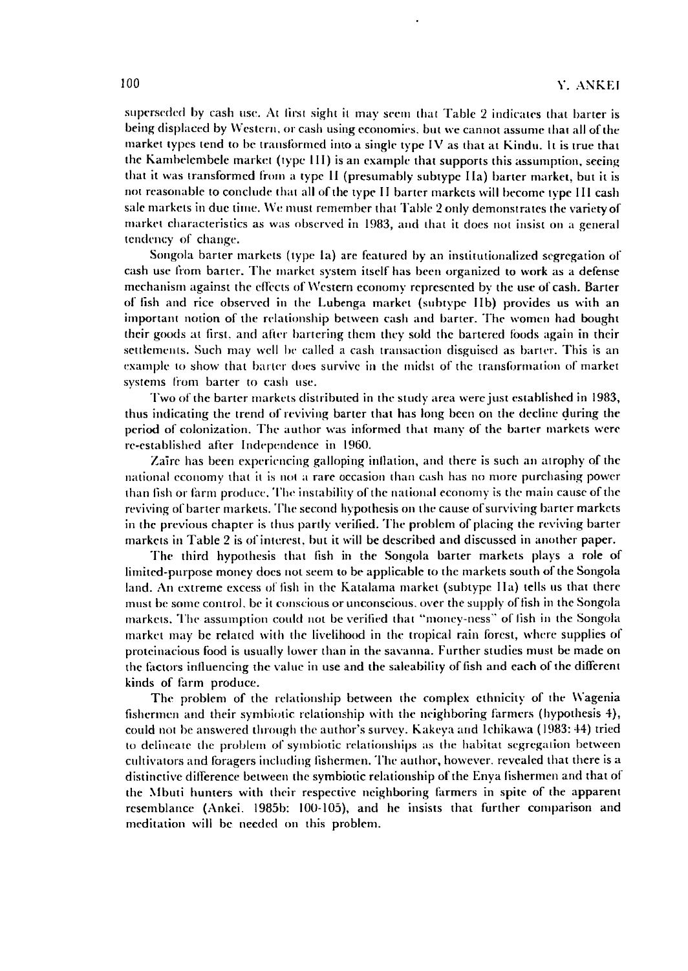superseded by cash use. At first sight it may seem that Table 2 indicates that barter is being displaced by Western, or cash using economics, but we cannot assume that all of the market types tend to be transformed into a single type IV as that at Kindu. It is true that the Kamhdembcle market (type II I) is an example that supports this assumption, seeing that it was transformed from a type lJ (presumably subtype lJa) barter market, but it is not reasonable to conclude that all of the type II barter markets will become type III cash sale markets in due time. We must remember that Table 2 only demonstrates the variety of market characteristics as was observed in 1983, and that it does not insist on a general tendency of change.

Songola barter markets (type Ia) are featured by an institutionalized segregation of cash usc li'om barter. The market system itself has been organized to work as a defense mechanism against the effects of \'Vestern economy represented by the usc of cash. Barter of fish and rice observed in the Lubenga market (subtype lib) provides us with an important notion of the relationship between cash and barter. The women had bought their goods at first. and aller bartering them they sold the bartered loods again in their settlements. Such may well be called a cash transaction disguised as barter. This is an example to show that barter does survive in the midst of the transformation of market systems from barter to cash use.

Two of the barter markets distributed in the study area were just established in 1983, thus indicating the trend of reviving barter that has long been on the decline during the period of colonization. The author was informed that many of the barter markets were re-established after Independence in 1960.

Zaire has been experiencing galloping inflation, and there is such an atrophy of the national economy that it is not a rare occasion lhan cash has no more purchasing power than fish or farm produce. The instability of the national economy is the main cause of the reviving of barter markets. The second hypothesis on the cause of surviving barter markets in the previous chapter is thus partly verified. The problem of placing the reviving barter markets in Table 2 is of interest, but it will be described and discussed in another paper.

The third hypothesis that fish in the Songola barter markets plays a role of limited-purpose money does not seem to be applicable to the markets south of the Songola land. An extreme excess of lish in the Katalama market (subtype lIa) tells us that there must be some control, be it conscious or unconscious, over the supply of fish in the Songola markets. The assumption could not be verified that "money-ness" of lish in the Songola market may be related with the livelihood in the tropical rain forest, where supplies of proteinacious food is usually lower than in the savanna. Further studies must be made on the factors influencing the value in use and the saleability of fish and each of the different kinds of farm produce.

The problem of the relationship between the complex ethnicity of the Wagenia fishermen and their symhiotic relationship with the neighboring farmers (hypothesis 4), could not be answered through the author's survey. Kakeya and Ichikawa (1983: 44) tried to delineate the problem of symbiotic relationships as the habitat segregation between cultivators and foragers including fishermen. The author, however. revealed that there is a distinctive difference between the symbiotic relationship of the Enya fishermen and that of the Mbuti hunters with their respective neighboring farmers in spite of the apparent resemblance (Ankei. 1985b: 100-105), and he insists that further comparison and meditation will be needed on this problem.